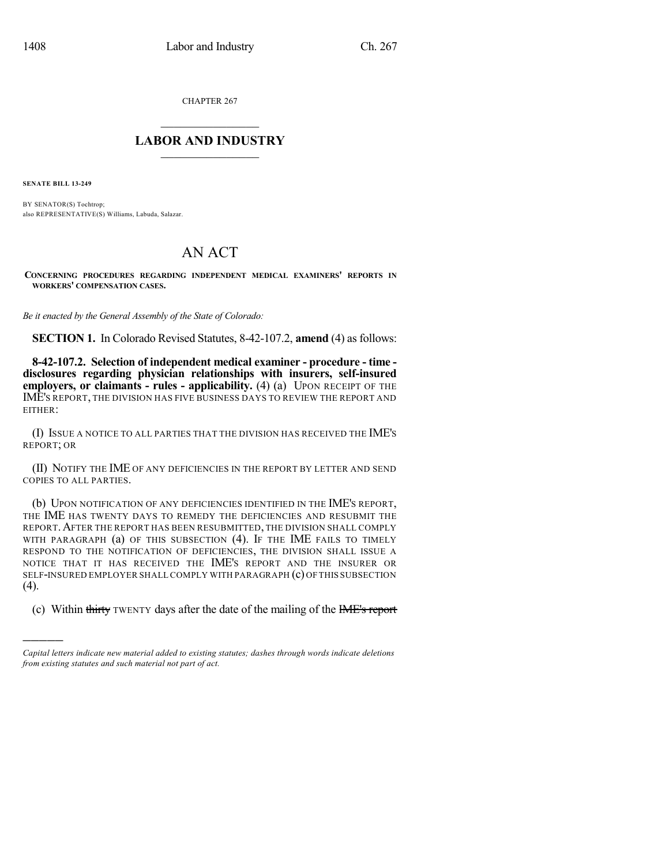CHAPTER 267

## $\overline{\phantom{a}}$  . The set of the set of the set of the set of the set of the set of the set of the set of the set of the set of the set of the set of the set of the set of the set of the set of the set of the set of the set o **LABOR AND INDUSTRY**  $\frac{1}{\sqrt{2}}$  ,  $\frac{1}{\sqrt{2}}$  ,  $\frac{1}{\sqrt{2}}$  ,  $\frac{1}{\sqrt{2}}$  ,  $\frac{1}{\sqrt{2}}$  ,  $\frac{1}{\sqrt{2}}$

**SENATE BILL 13-249**

)))))

BY SENATOR(S) Tochtrop; also REPRESENTATIVE(S) Williams, Labuda, Salazar.

## AN ACT

**CONCERNING PROCEDURES REGARDING INDEPENDENT MEDICAL EXAMINERS' REPORTS IN WORKERS' COMPENSATION CASES.**

*Be it enacted by the General Assembly of the State of Colorado:*

**SECTION 1.** In Colorado Revised Statutes, 8-42-107.2, **amend** (4) as follows:

**8-42-107.2. Selection of independent medical examiner - procedure - time disclosures regarding physician relationships with insurers, self-insured employers, or claimants - rules - applicability.** (4) (a) UPON RECEIPT OF THE IME'S REPORT, THE DIVISION HAS FIVE BUSINESS DAYS TO REVIEW THE REPORT AND EITHER:

(I) ISSUE A NOTICE TO ALL PARTIES THAT THE DIVISION HAS RECEIVED THE IME'S REPORT; OR

(II) NOTIFY THE IME OF ANY DEFICIENCIES IN THE REPORT BY LETTER AND SEND COPIES TO ALL PARTIES.

(b) UPON NOTIFICATION OF ANY DEFICIENCIES IDENTIFIED IN THE IME'S REPORT, THE IME HAS TWENTY DAYS TO REMEDY THE DEFICIENCIES AND RESUBMIT THE REPORT.AFTER THE REPORT HAS BEEN RESUBMITTED, THE DIVISION SHALL COMPLY WITH PARAGRAPH (a) OF THIS SUBSECTION (4). IF THE IME FAILS TO TIMELY RESPOND TO THE NOTIFICATION OF DEFICIENCIES, THE DIVISION SHALL ISSUE A NOTICE THAT IT HAS RECEIVED THE IME'S REPORT AND THE INSURER OR SELF-INSURED EMPLOYER SHALLCOMPLY WITH PARAGRAPH (c) OF THIS SUBSECTION (4).

(c) Within thirty TWENTY days after the date of the mailing of the IME's report

*Capital letters indicate new material added to existing statutes; dashes through words indicate deletions from existing statutes and such material not part of act.*